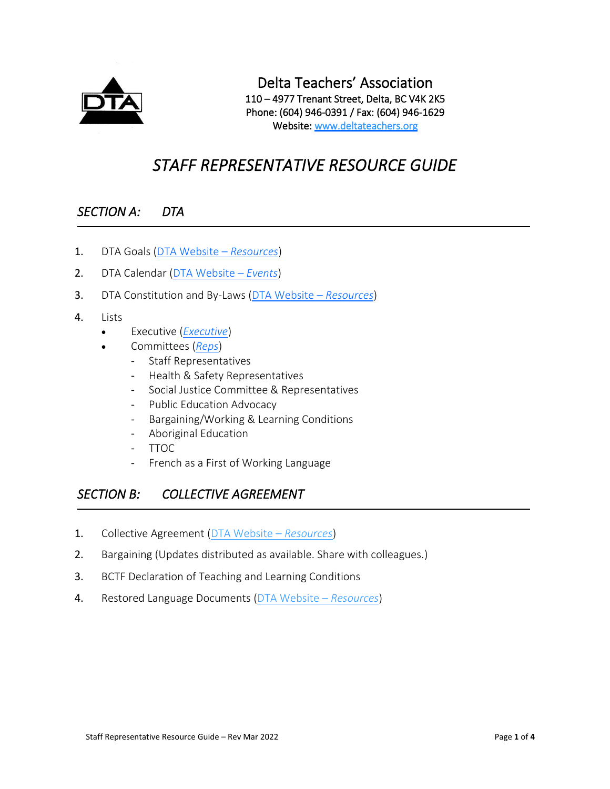

# *STAFF REPRESENTATIVE RESOURCE GUIDE*

# *SECTION A: DTA*

- 1. DTA Goals [\(DTA Website](https://www.deltateachers.org/wp-content/uploads/2021/10/DTA-Goals-2021-2022.pdf)  *Resources*)
- 2. DTA Calendar [\(DTA Website](https://www.deltateachers.org/dta-events/)  *Events*)
- 3. DTA Constitution and By-Laws [\(DTA Website](https://www.deltateachers.org/wp-content/uploads/2021/05/Constitution-Bylaws-1.pdf)  *Resources*)
- 4. Lists
	- Executive (*[Executive](https://www.deltateachers.org/dta-executive/)*)
	- Committees (*[Reps](https://www.deltateachers.org/committees/)*)
		- Staff Representatives
		- Health & Safety Representatives
		- Social Justice Committee & Representatives
		- Public Education Advocacy
		- Bargaining/Working & Learning Conditions
		- Aboriginal Education
		- TTOC
		- French as a First of Working Language

# *SECTION B: COLLECTIVE AGREEMENT*

- 1. Collective Agreement [\(DTA Website](https://www.deltateachers.org/wp-content/uploads/2022/01/37-LSB-Working-Doc-FINAL-2021-11-10.pdf)  *Resources*)
- 2. Bargaining (Updates distributed as available. Share with colleagues.)
- 3. BCTF Declaration of Teaching and Learning Conditions
- 4. Restored Language Documents [\(DTA Website](https://www.deltateachers.org/wp-content/uploads/2020/06/Restored-Language.pdf)  *Resources*)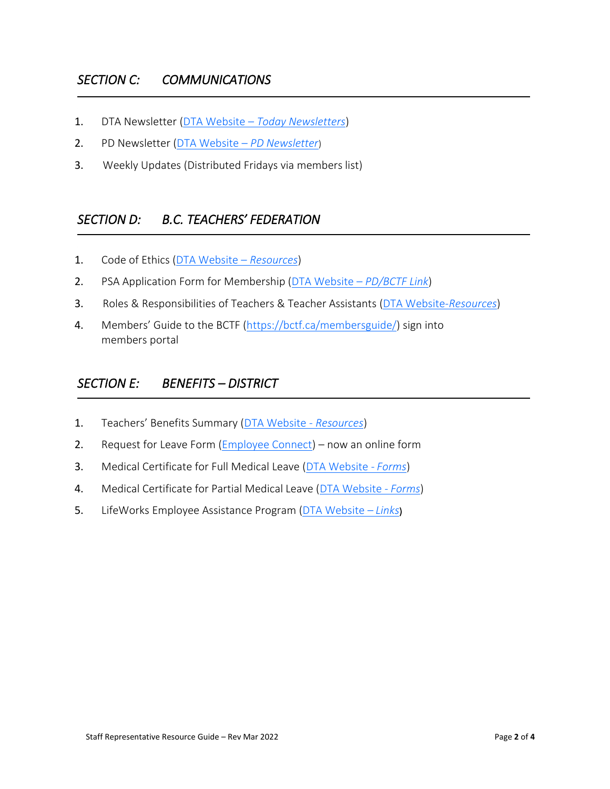- 1. DTA Newsletter [\(DTA Website](https://www.deltateachers.org/today-newsletter/)  *Today Newsletters*)
- 2. PD Newsletter (DTA Website *[PD Newsletter](https://www.deltateachers.org/pd-newsletter/)*)
- 3. Weekly Updates (Distributed Fridays via members list)

# *SECTION D: B.C. TEACHERS' FEDERATION*

- 1. Code of Ethics [\(DTA Website](https://www.deltateachers.org/wp-content/uploads/2020/05/BCTFCodeOfEthics_Page_1.jpg)  *Resources*)
- 2. PSA Application Form for Membership [\(DTA Website](https://www.bctf.ca/PSA/join.aspx)  *PD/BCTF Link*)
- 3. Roles & Responsibilities of Teachers & Teacher Assistants [\(DTA Website-](https://www.deltateachers.org/wp-content/uploads/2021/09/RolesAndResponsibilitiesTeachersTAs.pdf)*Resources*)
- 4. Members' Guide to the BCTF [\(https://bctf.ca/membersguide/\)](https://bctf.ca/membersguide/) sign into members portal

## *SECTION E: BENEFITS – DISTRICT*

- 1. Teachers' Benefits Summary ([DTA Website -](https://www.deltateachers.org/wp-content/uploads/2022/01/Teachers-EHC_plan_info_sheet.pdf) *Resources*)
- 2. Request for Leave Form [\(Employee Connect\)](https://www.deltateachers.org/wp-content/uploads/2021/09/Online-Teacher-Leave-Requests82-1.pdf) now an online form
- 3. Medical Certificate for Full Medical Leave [\(DTA Website -](https://www.deltateachers.org/wp-content/uploads/2021/09/Medical-Certificate-Full-Time.pdf) *Forms*)
- 4. Medical Certificate for Partial Medical Leave [\(DTA Website -](https://www.deltateachers.org/wp-content/uploads/2021/09/Medical-Certificate-Part-Time.pdf) *Forms*)
- 5. LifeWorks Employee Assistance Program [\(DTA Website](https://www.deltateachers.org/wp-content/uploads/2020/07/Contact-Lifeworks.pdf)  *Links*[\)](https://www.deltateachers.org/wp-content/uploads/2020/07/Contact-Lifeworks.pdf)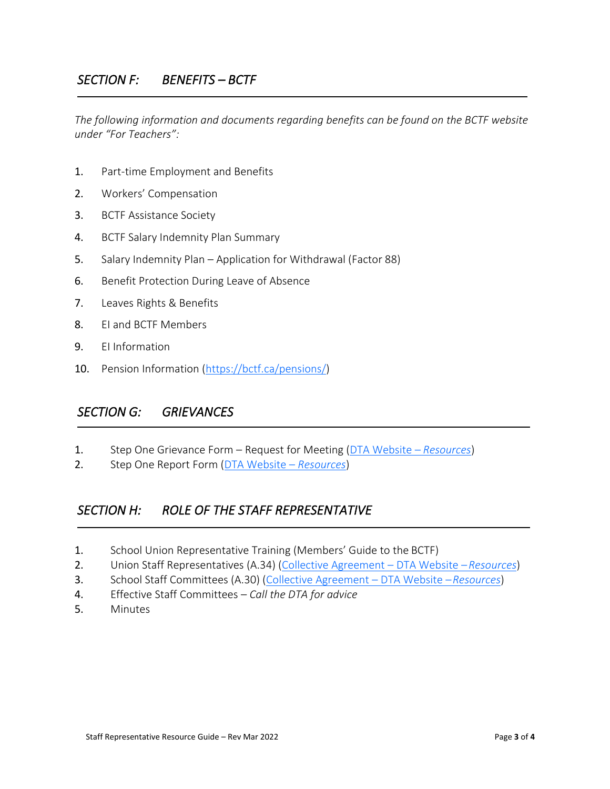*The following information and documents regarding benefits can be found on the BCTF website under "For Teachers":*

- 1. Part-time Employment and Benefits
- 2. Workers' Compensation
- 3. BCTF Assistance Society
- 4. BCTF Salary Indemnity Plan Summary
- 5. Salary Indemnity Plan Application for Withdrawal (Factor 88)
- 6. Benefit Protection During Leave of Absence
- 7. Leaves Rights & Benefits
- 8. EI and BCTF Members
- 9. EI Information
- 10. Pension Information [\(https://bctf.ca/pensions/\)](http://www.bctf.ca/SalaryAndBenefits.aspx?id=4780)

### *SECTION G: GRIEVANCES*

- 1. Step One Grievance Form Request for Meeting [\(DTA Website](https://www.deltateachers.org/wp-content/uploads/2020/06/StepOneGrievanceForm-RequestForMeeting-fillable.pdf)  *Resources*)
- 2. Step One Report Form [\(DTA Website](https://www.deltateachers.org/wp-content/uploads/2020/06/Grievance-STep-One-Report-fillable.pdf)  *Resources*)

# *SECTION H: ROLE OF THE STAFF REPRESENTATIVE*

- 1. School Union Representative Training (Members' Guide to the BCTF)
- 2. Union Staff Representatives (A.34) [\(Collective Agreement](https://www.deltateachers.org/wp-content/uploads/2022/01/37-LSB-Working-Doc-FINAL-2021-11-10.pdf)  DTA Website –*Resources*)
- 3. School Staff Committees (A.30) [\(Collective Agreement](https://www.deltateachers.org/wp-content/uploads/2022/01/37-LSB-Working-Doc-FINAL-2021-11-10.pdf)  DTA Website –*Resources*)
- 4. Effective Staff Committees *Call the DTA for advice*
- 5. Minutes